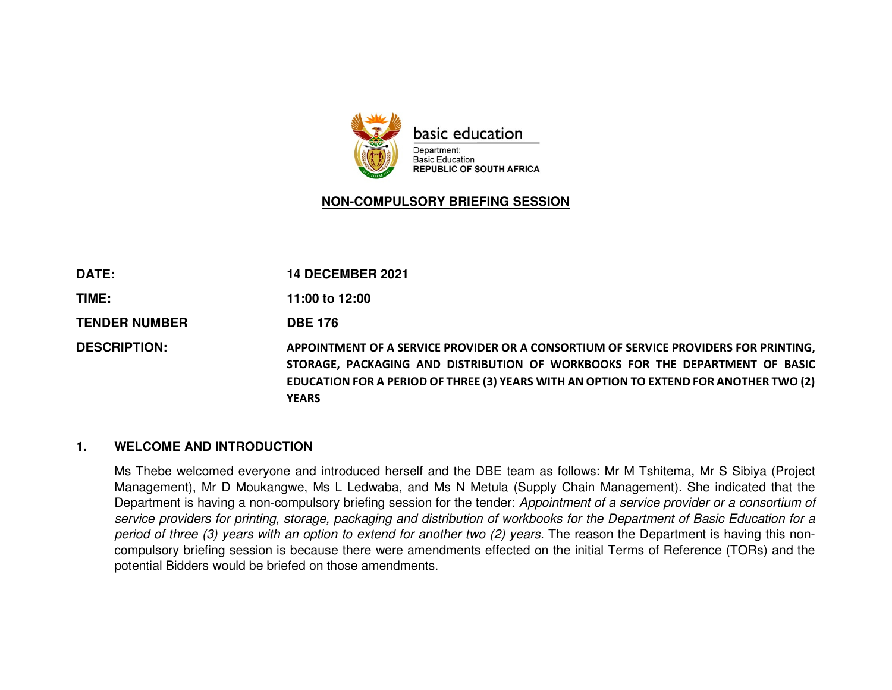

### **NON-COMPULSORY BRIEFING SESSION**

| <b>DATE:</b>         | <b>14 DECEMBER 2021</b>                                                                                                                                                                                                                                                        |
|----------------------|--------------------------------------------------------------------------------------------------------------------------------------------------------------------------------------------------------------------------------------------------------------------------------|
| TIME:                | 11:00 to 12:00                                                                                                                                                                                                                                                                 |
| <b>TENDER NUMBER</b> | <b>DBE 176</b>                                                                                                                                                                                                                                                                 |
| <b>DESCRIPTION:</b>  | APPOINTMENT OF A SERVICE PROVIDER OR A CONSORTIUM OF SERVICE PROVIDERS FOR PRINTING,<br>STORAGE, PACKAGING AND DISTRIBUTION OF WORKBOOKS FOR THE DEPARTMENT OF BASIC<br>EDUCATION FOR A PERIOD OF THREE (3) YEARS WITH AN OPTION TO EXTEND FOR ANOTHER TWO (2)<br><b>YEARS</b> |

### **1. WELCOME AND INTRODUCTION**

Ms Thebe welcomed everyone and introduced herself and the DBE team as follows: Mr M Tshitema, Mr S Sibiya (Project Management), Mr D Moukangwe, Ms L Ledwaba, and Ms N Metula (Supply Chain Management). She indicated that the Department is having a non-compulsory briefing session for the tender: Appointment of a service provider or a consortium of service providers for printing, storage, packaging and distribution of workbooks for the Department of Basic Education for a period of three (3) years with an option to extend for another two (2) years. The reason the Department is having this noncompulsory briefing session is because there were amendments effected on the initial Terms of Reference (TORs) and the potential Bidders would be briefed on those amendments.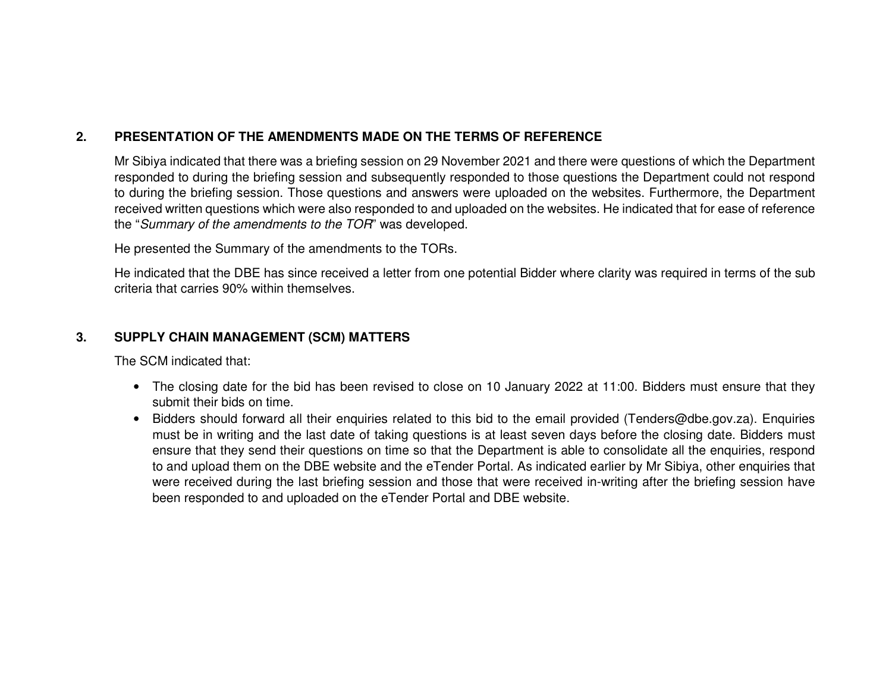## **2. PRESENTATION OF THE AMENDMENTS MADE ON THE TERMS OF REFERENCE**

Mr Sibiya indicated that there was a briefing session on 29 November 2021 and there were questions of which the Department responded to during the briefing session and subsequently responded to those questions the Department could not respond to during the briefing session. Those questions and answers were uploaded on the websites. Furthermore, the Department received written questions which were also responded to and uploaded on the websites. He indicated that for ease of reference the "Summary of the amendments to the TOR" was developed.

He presented the Summary of the amendments to the TORs.

He indicated that the DBE has since received a letter from one potential Bidder where clarity was required in terms of the sub criteria that carries 90% within themselves.

### **3. SUPPLY CHAIN MANAGEMENT (SCM) MATTERS**

The SCM indicated that:

- The closing date for the bid has been revised to close on 10 January 2022 at 11:00. Bidders must ensure that they submit their bids on time.
- Bidders should forward all their enquiries related to this bid to the email provided (Tenders@dbe.gov.za). Enquiries must be in writing and the last date of taking questions is at least seven days before the closing date. Bidders must ensure that they send their questions on time so that the Department is able to consolidate all the enquiries, respond to and upload them on the DBE website and the eTender Portal. As indicated earlier by Mr Sibiya, other enquiries that were received during the last briefing session and those that were received in-writing after the briefing session have been responded to and uploaded on the eTender Portal and DBE website.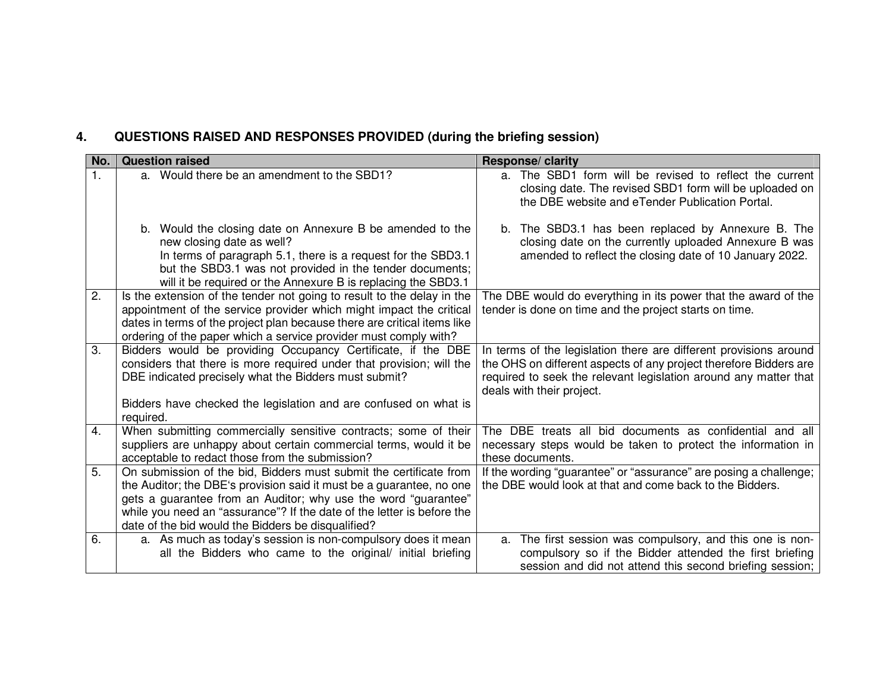# **4. QUESTIONS RAISED AND RESPONSES PROVIDED (during the briefing session)**

| No. | <b>Question raised</b>                                                                                                                                                                                                                                                                                                                       | Response/ clarity                                                                                                                                                                                                                       |
|-----|----------------------------------------------------------------------------------------------------------------------------------------------------------------------------------------------------------------------------------------------------------------------------------------------------------------------------------------------|-----------------------------------------------------------------------------------------------------------------------------------------------------------------------------------------------------------------------------------------|
| 1.  | a. Would there be an amendment to the SBD1?                                                                                                                                                                                                                                                                                                  | a. The SBD1 form will be revised to reflect the current<br>closing date. The revised SBD1 form will be uploaded on<br>the DBE website and eTender Publication Portal.                                                                   |
|     | b. Would the closing date on Annexure B be amended to the<br>new closing date as well?<br>In terms of paragraph 5.1, there is a request for the SBD3.1<br>but the SBD3.1 was not provided in the tender documents;<br>will it be required or the Annexure B is replacing the SBD3.1                                                          | b. The SBD3.1 has been replaced by Annexure B. The<br>closing date on the currently uploaded Annexure B was<br>amended to reflect the closing date of 10 January 2022.                                                                  |
| 2.  | Is the extension of the tender not going to result to the delay in the<br>appointment of the service provider which might impact the critical<br>dates in terms of the project plan because there are critical items like<br>ordering of the paper which a service provider must comply with?                                                | The DBE would do everything in its power that the award of the<br>tender is done on time and the project starts on time.                                                                                                                |
| 3.  | Bidders would be providing Occupancy Certificate, if the DBE<br>considers that there is more required under that provision; will the<br>DBE indicated precisely what the Bidders must submit?<br>Bidders have checked the legislation and are confused on what is                                                                            | In terms of the legislation there are different provisions around<br>the OHS on different aspects of any project therefore Bidders are<br>required to seek the relevant legislation around any matter that<br>deals with their project. |
|     | required.                                                                                                                                                                                                                                                                                                                                    |                                                                                                                                                                                                                                         |
| 4.  | When submitting commercially sensitive contracts; some of their<br>suppliers are unhappy about certain commercial terms, would it be<br>acceptable to redact those from the submission?                                                                                                                                                      | The DBE treats all bid documents as confidential and all<br>necessary steps would be taken to protect the information in<br>these documents.                                                                                            |
| 5.  | On submission of the bid, Bidders must submit the certificate from<br>the Auditor; the DBE's provision said it must be a guarantee, no one<br>gets a guarantee from an Auditor; why use the word "guarantee"<br>while you need an "assurance"? If the date of the letter is before the<br>date of the bid would the Bidders be disqualified? | If the wording "guarantee" or "assurance" are posing a challenge;<br>the DBE would look at that and come back to the Bidders.                                                                                                           |
| 6.  | a. As much as today's session is non-compulsory does it mean<br>all the Bidders who came to the original/ initial briefing                                                                                                                                                                                                                   | a. The first session was compulsory, and this one is non-<br>compulsory so if the Bidder attended the first briefing<br>session and did not attend this second briefing session;                                                        |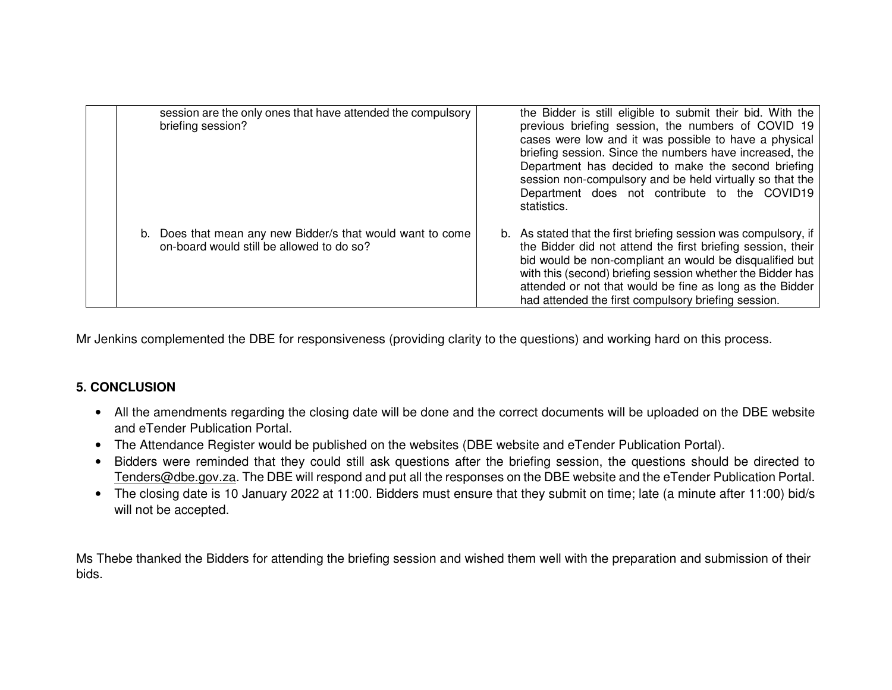| session are the only ones that have attended the compulsory<br>briefing session?                        | the Bidder is still eligible to submit their bid. With the<br>previous briefing session, the numbers of COVID 19<br>cases were low and it was possible to have a physical<br>briefing session. Since the numbers have increased, the<br>Department has decided to make the second briefing<br>session non-compulsory and be held virtually so that the<br>Department does not contribute to the COVID19<br>statistics. |
|---------------------------------------------------------------------------------------------------------|------------------------------------------------------------------------------------------------------------------------------------------------------------------------------------------------------------------------------------------------------------------------------------------------------------------------------------------------------------------------------------------------------------------------|
| b. Does that mean any new Bidder/s that would want to come<br>on-board would still be allowed to do so? | b. As stated that the first briefing session was compulsory, if<br>the Bidder did not attend the first briefing session, their<br>bid would be non-compliant an would be disqualified but<br>with this (second) briefing session whether the Bidder has<br>attended or not that would be fine as long as the Bidder<br>had attended the first compulsory briefing session.                                             |

Mr Jenkins complemented the DBE for responsiveness (providing clarity to the questions) and working hard on this process.

### **5. CONCLUSION**

- All the amendments regarding the closing date will be done and the correct documents will be uploaded on the DBE website and eTender Publication Portal.
- The Attendance Register would be published on the websites (DBE website and eTender Publication Portal).
- Bidders were reminded that they could still ask questions after the briefing session, the questions should be directed to Tenders@dbe.gov.za. The DBE will respond and put all the responses on the DBE website and the eTender Publication Portal.
- The closing date is 10 January 2022 at 11:00. Bidders must ensure that they submit on time; late (a minute after 11:00) bid/s will not be accepted.

Ms Thebe thanked the Bidders for attending the briefing session and wished them well with the preparation and submission of their bids.